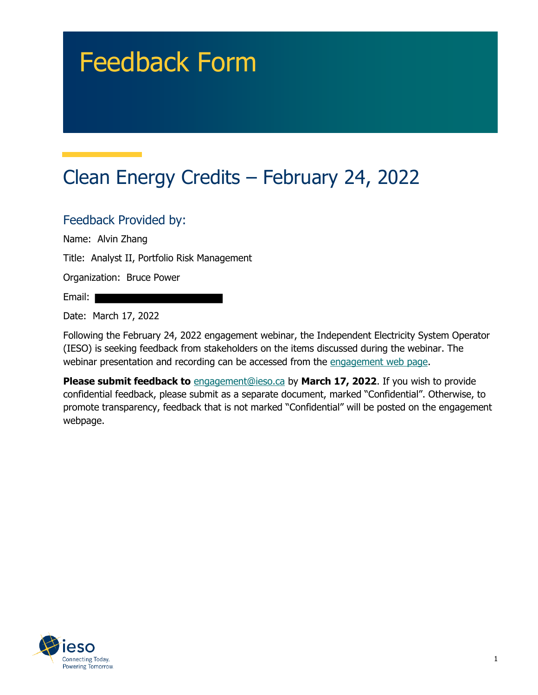# Feedback Form

# Clean Energy Credits – February 24, 2022

#### Feedback Provided by:

Name: Alvin Zhang

Title: Analyst II, Portfolio Risk Management

Organization: Bruce Power

Email:

Date: March 17, 2022

Following the February 24, 2022 engagement webinar, the Independent Electricity System Operator (IESO) is seeking feedback from stakeholders on the items discussed during the webinar. The webinar presentation and recording can be accessed from the engagement web page.

**Please submit feedback to** engagement@ieso.ca by March 17, 2022. If you wish to provide confidential feedback, please submit as a separate document, marked "Confidential". Otherwise, to promote transparency, feedback that is not marked "Confidential" will be posted on the engagement webpage.

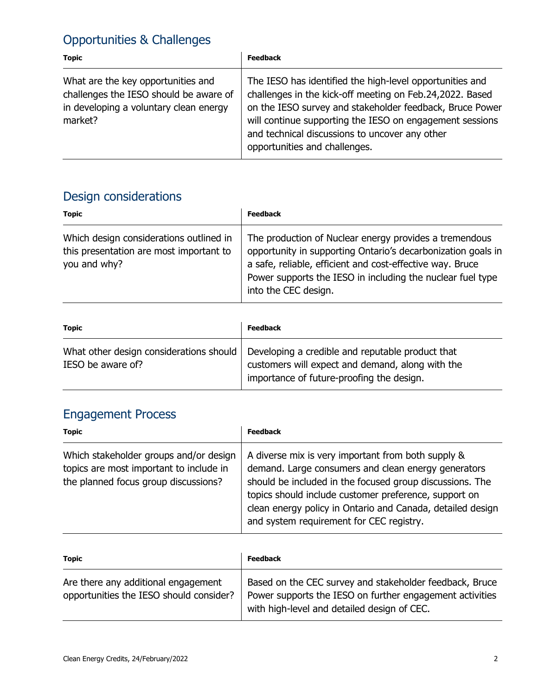### Opportunities & Challenges

| <b>Topic</b>                                                                                                                      | <b>Feedback</b>                                                                                                                                                                                                                                                                                                                 |
|-----------------------------------------------------------------------------------------------------------------------------------|---------------------------------------------------------------------------------------------------------------------------------------------------------------------------------------------------------------------------------------------------------------------------------------------------------------------------------|
| What are the key opportunities and<br>challenges the IESO should be aware of<br>in developing a voluntary clean energy<br>market? | The IESO has identified the high-level opportunities and<br>challenges in the kick-off meeting on Feb.24,2022. Based<br>on the IESO survey and stakeholder feedback, Bruce Power<br>will continue supporting the IESO on engagement sessions<br>and technical discussions to uncover any other<br>opportunities and challenges. |

## Design considerations

| <b>Topic</b>                                                                                       | <b>Feedback</b>                                                                                                                                                                                                                                                           |
|----------------------------------------------------------------------------------------------------|---------------------------------------------------------------------------------------------------------------------------------------------------------------------------------------------------------------------------------------------------------------------------|
| Which design considerations outlined in<br>this presentation are most important to<br>you and why? | The production of Nuclear energy provides a tremendous<br>opportunity in supporting Ontario's decarbonization goals in<br>a safe, reliable, efficient and cost-effective way. Bruce<br>Power supports the IESO in including the nuclear fuel type<br>into the CEC design. |

| <b>Topic</b>      | <b>Feedback</b>                                                                                                                                                                             |
|-------------------|---------------------------------------------------------------------------------------------------------------------------------------------------------------------------------------------|
| IESO be aware of? | What other design considerations should   Developing a credible and reputable product that<br>customers will expect and demand, along with the<br>importance of future-proofing the design. |

#### Engagement Process

| <b>Topic</b>                                                                                                              | <b>Feedback</b>                                                                                                                                                                                                                                                                                                                          |
|---------------------------------------------------------------------------------------------------------------------------|------------------------------------------------------------------------------------------------------------------------------------------------------------------------------------------------------------------------------------------------------------------------------------------------------------------------------------------|
| Which stakeholder groups and/or design<br>topics are most important to include in<br>the planned focus group discussions? | A diverse mix is very important from both supply &<br>demand. Large consumers and clean energy generators<br>should be included in the focused group discussions. The<br>topics should include customer preference, support on<br>clean energy policy in Ontario and Canada, detailed design<br>and system requirement for CEC registry. |

| <b>Topic</b>                                                                   | <b>Feedback</b>                                                                                                                                                    |
|--------------------------------------------------------------------------------|--------------------------------------------------------------------------------------------------------------------------------------------------------------------|
| Are there any additional engagement<br>opportunities the IESO should consider? | Based on the CEC survey and stakeholder feedback, Bruce<br>Power supports the IESO on further engagement activities<br>with high-level and detailed design of CEC. |